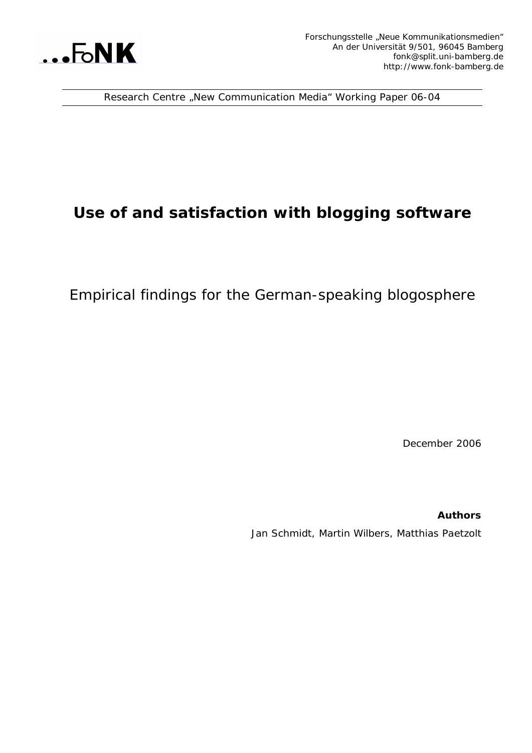

Research Centre "New Communication Media" Working Paper 06-04

# **Use of and satisfaction with blogging software**

Empirical findings for the German-speaking blogosphere

December 2006

**Authors** Jan Schmidt, Martin Wilbers, Matthias Paetzolt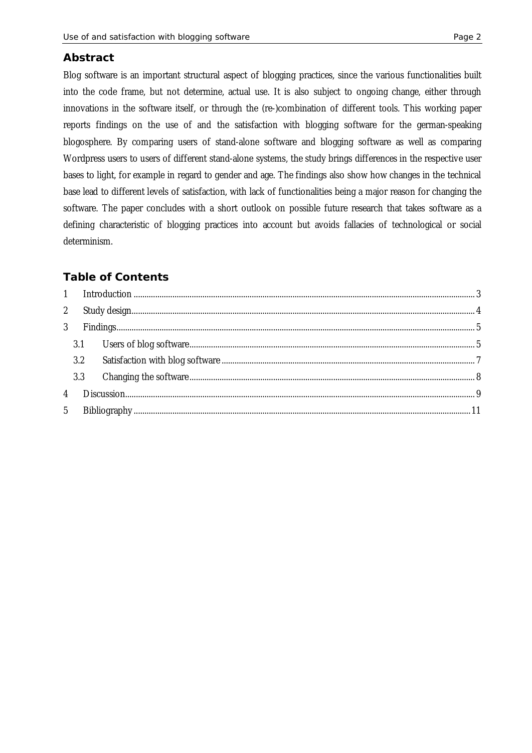### **Abstract**

Blog software is an important structural aspect of blogging practices, since the various functionalities built into the code frame, but not determine, actual use. It is also subject to ongoing change, either through innovations in the software itself, or through the (re-)combination of different tools. This working paper reports findings on the use of and the satisfaction with blogging software for the german-speaking blogosphere. By comparing users of stand-alone software and blogging software as well as comparing Wordpress users to users of different stand-alone systems, the study brings differences in the respective user bases to light, for example in regard to gender and age. The findings also show how changes in the technical base lead to different levels of satisfaction, with lack of functionalities being a major reason for changing the software. The paper concludes with a short outlook on possible future research that takes software as a defining characteristic of blogging practices into account but avoids fallacies of technological or social determinism.

# **Table of Contents**

| $2^{\circ}$    |     |  |
|----------------|-----|--|
| $\mathcal{S}$  |     |  |
|                |     |  |
|                | 3.2 |  |
|                | 3.3 |  |
| $\overline{4}$ |     |  |
| 5              |     |  |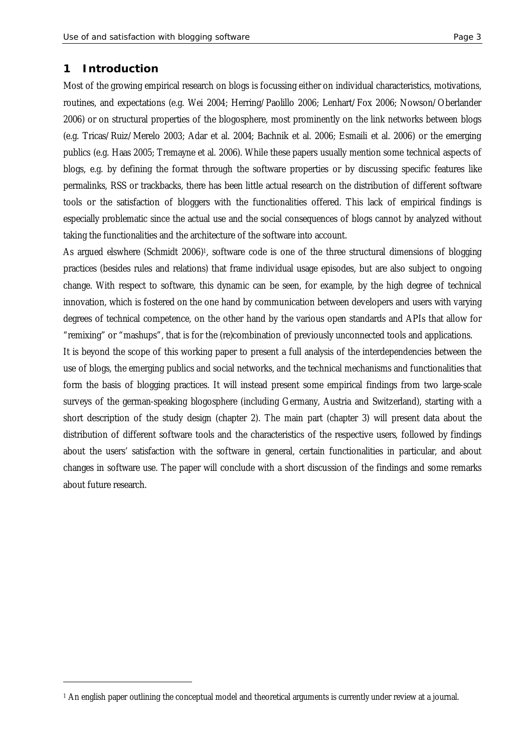### **1 Introduction**

—<br>—

Most of the growing empirical research on blogs is focussing either on individual characteristics, motivations, routines, and expectations (e.g. Wei 2004; Herring/Paolillo 2006; Lenhart/Fox 2006; Nowson/Oberlander 2006) or on structural properties of the blogosphere, most prominently on the link networks between blogs (e.g. Tricas/Ruiz/Merelo 2003; Adar et al. 2004; Bachnik et al. 2006; Esmaili et al. 2006) or the emerging publics (e.g. Haas 2005; Tremayne et al. 2006). While these papers usually mention some technical aspects of blogs, e.g. by defining the format through the software properties or by discussing specific features like permalinks, RSS or trackbacks, there has been little actual research on the distribution of different software tools or the satisfaction of bloggers with the functionalities offered. This lack of empirical findings is especially problematic since the actual use and the social consequences of blogs cannot by analyzed without taking the functionalities and the architecture of the software into account.

As argued elswhere (Schmidt 2006)<sup>1</sup>, software code is one of the three structural dimensions of blogging practices (besides rules and relations) that frame individual usage episodes, but are also subject to ongoing change. With respect to software, this dynamic can be seen, for example, by the high degree of technical innovation, which is fostered on the one hand by communication between developers and users with varying degrees of technical competence, on the other hand by the various open standards and APIs that allow for "remixing" or "mashups", that is for the (re)combination of previously unconnected tools and applications.

It is beyond the scope of this working paper to present a full analysis of the interdependencies between the use of blogs, the emerging publics and social networks, and the technical mechanisms and functionalities that form the basis of blogging practices. It will instead present some empirical findings from two large-scale surveys of the german-speaking blogosphere (including Germany, Austria and Switzerland), starting with a short description of the study design (chapter 2). The main part (chapter 3) will present data about the distribution of different software tools and the characteristics of the respective users, followed by findings about the users' satisfaction with the software in general, certain functionalities in particular, and about changes in software use. The paper will conclude with a short discussion of the findings and some remarks about future research.

<sup>1</sup> An english paper outlining the conceptual model and theoretical arguments is currently under review at a journal.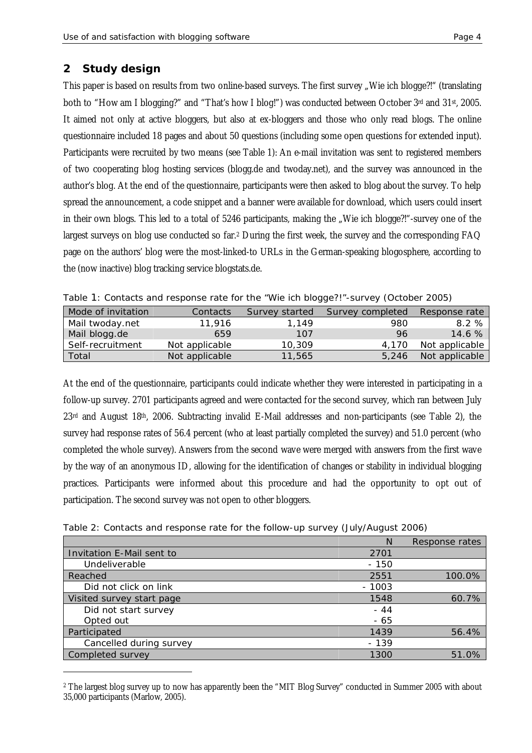# **2 Study design**

This paper is based on results from two online-based surveys. The first survey "Wie ich blogge?!" (translating both to "How am I blogging?" and "That's how I blog!") was conducted between October 3rd and 31st, 2005. It aimed not only at active bloggers, but also at ex-bloggers and those who only read blogs. The online questionnaire included 18 pages and about 50 questions (including some open questions for extended input). Participants were recruited by two means (see Table 1): An e-mail invitation was sent to registered members of two cooperating blog hosting services (blogg.de and twoday.net), and the survey was announced in the author's blog. At the end of the questionnaire, participants were then asked to blog about the survey. To help spread the announcement, a code snippet and a banner were available for download, which users could insert in their own blogs. This led to a total of 5246 participants, making the "Wie ich blogge?!"-survey one of the largest surveys on blog use conducted so far.2 During the first week, the survey and the corresponding FAQ page on the authors' blog were the most-linked-to URLs in the German-speaking blogosphere, according to the (now inactive) blog tracking service blogstats.de.

| Mode of invitation | Contacts       | Survey started | Survey completed | Response rate  |  |  |
|--------------------|----------------|----------------|------------------|----------------|--|--|
| Mail twoday.net    | 11.916         | 1.149          | 980              | 8.2%           |  |  |
| Mail blogg.de      | 659            | 107            | 96               | 14.6%          |  |  |
| Self-recruitment   | Not applicable | 10,309         | 4.170            | Not applicable |  |  |

Total 11,565 5,246 Not applicable 11,565 5,246 Not applicable

| Table 1: Contacts and response rate for the "Wie ich blogge?!"-survey (October 2005) |  |
|--------------------------------------------------------------------------------------|--|
|--------------------------------------------------------------------------------------|--|

At the end of the questionnaire, participants could indicate whether they were interested in participating in a follow-up survey. 2701 participants agreed and were contacted for the second survey, which ran between July  $23$ <sup>rd</sup> and August 18<sup>th</sup>, 2006. Subtracting invalid E-Mail addresses and non-participants (see Table 2), the survey had response rates of 56.4 percent (who at least partially completed the survey) and 51.0 percent (who completed the whole survey). Answers from the second wave were merged with answers from the first wave by the way of an anonymous ID, allowing for the identification of changes or stability in individual blogging practices. Participants were informed about this procedure and had the opportunity to opt out of participation. The second survey was not open to other bloggers.

| Table 2: Contacts and response rate for the follow-up survey (July/August 2006) |  |  |
|---------------------------------------------------------------------------------|--|--|
|---------------------------------------------------------------------------------|--|--|

|                           | N       | Response rates |
|---------------------------|---------|----------------|
| Invitation E-Mail sent to | 2701    |                |
| Undeliverable             | $-150$  |                |
| Reached                   | 2551    | 100.0%         |
| Did not click on link     | $-1003$ |                |
| Visited survey start page | 1548    | 60.7%          |
| Did not start survey      | $-44$   |                |
| Opted out                 | $-65$   |                |
| Participated              | 1439    | 56.4%          |
| Cancelled during survey   | $-139$  |                |
| Completed survey          | 1300    | 51.0%          |

2 The largest blog survey up to now has apparently been the "MIT Blog Survey" conducted in Summer 2005 with about 35,000 participants (Marlow, 2005).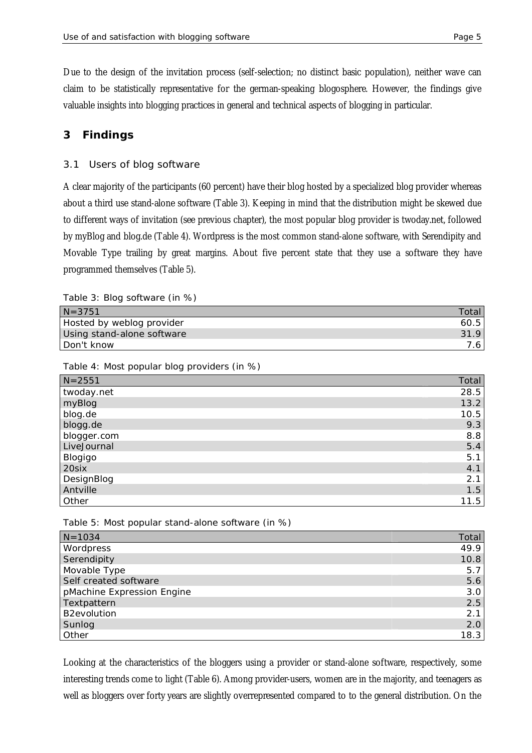Due to the design of the invitation process (self-selection; no distinct basic population), neither wave can claim to be statistically representative for the german-speaking blogosphere. However, the findings give valuable insights into blogging practices in general and technical aspects of blogging in particular.

## **3 Findings**

### 3.1 Users of blog software

A clear majority of the participants (60 percent) have their blog hosted by a specialized blog provider whereas about a third use stand-alone software (Table 3). Keeping in mind that the distribution might be skewed due to different ways of invitation (see previous chapter), the most popular blog provider is twoday.net, followed by myBlog and blog.de (Table 4). Wordpress is the most common stand-alone software, with Serendipity and Movable Type trailing by great margins. About five percent state that they use a software they have programmed themselves (Table 5).

Table 3: Blog software (in %)

| $N = 3751$                 | Total |
|----------------------------|-------|
| Hosted by weblog provider  | 60.5  |
| Using stand-alone software | 31.9  |
| Don't know                 |       |

#### Table 4: Most popular blog providers (in %)

| $N = 2551$  | Total |
|-------------|-------|
| twoday.net  | 28.5  |
| myBlog      | 13.2  |
| blog.de     | 10.5  |
| blogg.de    | 9.3   |
| blogger.com | 8.8   |
| LiveJournal | 5.4   |
| Blogigo     | 5.1   |
| 20six       | 4.1   |
| DesignBlog  | 2.1   |
| Antville    | 1.5   |
| Other       | 11.5  |

#### Table 5: Most popular stand-alone software (in %)

| $N = 1034$                 | Total |
|----------------------------|-------|
| Wordpress                  | 49.9  |
| Serendipity                | 10.8  |
| Movable Type               | 5.7   |
| Self created software      | 5.6   |
| pMachine Expression Engine | 3.0   |
| Textpattern                | 2.5   |
| <b>B2evolution</b>         | 2.1   |
| Sunlog                     | 2.0   |
| Other                      | 18.3  |

Looking at the characteristics of the bloggers using a provider or stand-alone software, respectively, some interesting trends come to light (Table 6). Among provider-users, women are in the majority, and teenagers as well as bloggers over forty years are slightly overrepresented compared to to the general distribution. On the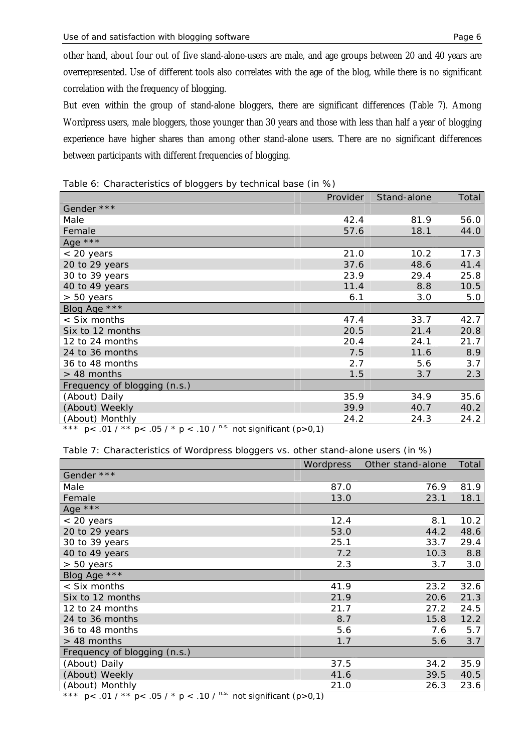other hand, about four out of five stand-alone-users are male, and age groups between 20 and 40 years are overrepresented. Use of different tools also correlates with the age of the blog, while there is no significant correlation with the frequency of blogging.

But even within the group of stand-alone bloggers, there are significant differences (Table 7). Among Wordpress users, male bloggers, those younger than 30 years and those with less than half a year of blogging experience have higher shares than among other stand-alone users. There are no significant differences between participants with different frequencies of blogging.

Table 6: Characteristics of bloggers by technical base (in %)

|                              | Provider | Stand-alone | Total |
|------------------------------|----------|-------------|-------|
| Gender ***                   |          |             |       |
| Male                         | 42.4     | 81.9        | 56.0  |
| Female                       | 57.6     | 18.1        | 44.0  |
| Age ***                      |          |             |       |
| $< 20$ years                 | 21.0     | 10.2        | 17.3  |
| 20 to 29 years               | 37.6     | 48.6        | 41.4  |
| 30 to 39 years               | 23.9     | 29.4        | 25.8  |
| 40 to 49 years               | 11.4     | 8.8         | 10.5  |
| $> 50$ years                 | 6.1      | 3.0         | 5.0   |
| Blog Age ***                 |          |             |       |
| < Six months                 | 47.4     | 33.7        | 42.7  |
| Six to 12 months             | 20.5     | 21.4        | 20.8  |
| 12 to 24 months              | 20.4     | 24.1        | 21.7  |
| 24 to 36 months              | 7.5      | 11.6        | 8.9   |
| 36 to 48 months              | 2.7      | 5.6         | 3.7   |
| $> 48$ months                | 1.5      | 3.7         | 2.3   |
| Frequency of blogging (n.s.) |          |             |       |
| (About) Daily                | 35.9     | 34.9        | 35.6  |
| (About) Weekly               | 39.9     | 40.7        | 40.2  |
| (About) Monthly              | 24.2     | 24.3        | 24.2  |

*\*\*\* p< .01 / \*\* p< .05 / \* p < .10 / n.s. not significant (p>0,1)*

Table 7: Characteristics of Wordpress bloggers vs. other stand-alone users (in %)

|                                                                  | Wordpress | Other stand-alone | Total |
|------------------------------------------------------------------|-----------|-------------------|-------|
| Gender ***                                                       |           |                   |       |
| Male                                                             | 87.0      | 76.9              | 81.9  |
| Female                                                           | 13.0      | 23.1              | 18.1  |
| Age ***                                                          |           |                   |       |
| < 20 years                                                       | 12.4      | 8.1               | 10.2  |
| 20 to 29 years                                                   | 53.0      | 44.2              | 48.6  |
| 30 to 39 years                                                   | 25.1      | 33.7              | 29.4  |
| 40 to 49 years                                                   | 7.2       | 10.3              | 8.8   |
| > 50 years                                                       | 2.3       | 3.7               | 3.0   |
| Blog Age ***                                                     |           |                   |       |
| < Six months                                                     | 41.9      | 23.2              | 32.6  |
| Six to 12 months                                                 | 21.9      | 20.6              | 21.3  |
| 12 to 24 months                                                  | 21.7      | 27.2              | 24.5  |
| 24 to 36 months                                                  | 8.7       | 15.8              | 12.2  |
| 36 to 48 months                                                  | 5.6       | 7.6               | 5.7   |
| > 48 months                                                      | 1.7       | 5.6               | 3.7   |
| Frequency of blogging (n.s.)                                     |           |                   |       |
| (About) Daily                                                    | 37.5      | 34.2              | 35.9  |
| (About) Weekly                                                   | 41.6      | 39.5              | 40.5  |
| (About) Monthly<br>40.105<br>$\sqrt{2}$<br>$\sim$ $ \sim$ $\sim$ | 21.0      | 26.3              | 23.6  |

*\*\*\* p< .01 / \*\* p< .05 / \* p < .10 / n.s. not significant (p>0,1)*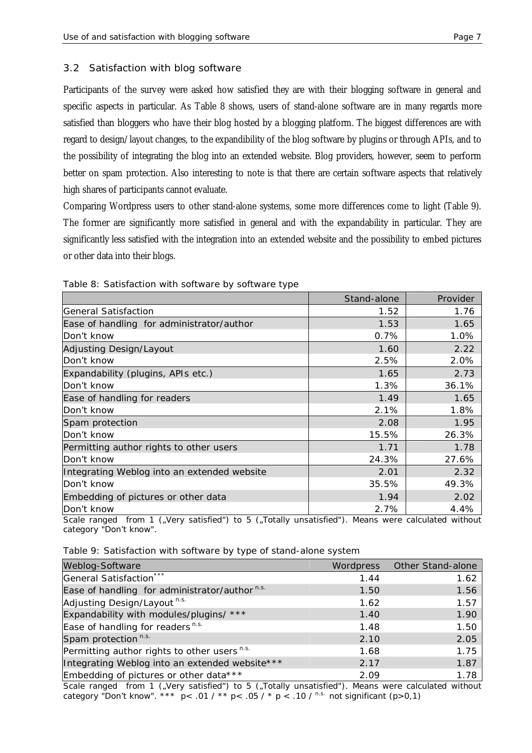### 3.2 Satisfaction with blog software

Participants of the survey were asked how satisfied they are with their blogging software in general and specific aspects in particular. As Table 8 shows, users of stand-alone software are in many regards more satisfied than bloggers who have their blog hosted by a blogging platform. The biggest differences are with regard to design/layout changes, to the expandibility of the blog software by plugins or through APIs, and to the possibility of integrating the blog into an extended website. Blog providers, however, seem to perform better on spam protection. Also interesting to note is that there are certain software aspects that relatively high shares of participants cannot evaluate.

Comparing Wordpress users to other stand-alone systems, some more differences come to light (Table 9). The former are significantly more satisfied in general and with the expandability in particular. They are significantly less satisfied with the integration into an extended website and the possibility to embed pictures or other data into their blogs.

|                                             | Stand-alone | Provider |
|---------------------------------------------|-------------|----------|
| General Satisfaction                        | 1.52        | 1.76     |
| Ease of handling for administrator/author   | 1.53        | 1.65     |
| Don't know                                  | 0.7%        | 1.0%     |
| Adjusting Design/Layout                     | 1.60        | 2.22     |
| Don't know                                  | 2.5%        | 2.0%     |
| Expandability (plugins, APIs etc.)          | 1.65        | 2.73     |
| Don't know                                  | 1.3%        | 36.1%    |
| Ease of handling for readers                | 1.49        | 1.65     |
| Don't know                                  | 2.1%        | 1.8%     |
| Spam protection                             | 2.08        | 1.95     |
| Don't know                                  | 15.5%       | 26.3%    |
| Permitting author rights to other users     | 1.71        | 1.78     |
| Don't know                                  | 24.3%       | 27.6%    |
| Integrating Weblog into an extended website | 2.01        | 2.32     |
| Don't know                                  | 35.5%       | 49.3%    |
| Embedding of pictures or other data         | 1.94        | 2.02     |
| Don't know                                  | 2.7%        | 4.4%     |

Table 8: Satisfaction with software by software type

*Scale ranged from 1 ("Very satisfied") to 5 ("Totally unsatisfied"). Means were calculated without category "Don't know".*

|  |  | Table 9: Satisfaction with software by type of stand-alone system |  |
|--|--|-------------------------------------------------------------------|--|
|  |  |                                                                   |  |

| Weblog-Software                                           |      | Wordpress Other Stand-alone |
|-----------------------------------------------------------|------|-----------------------------|
| General Satisfaction***                                   | 1.44 | 1.62                        |
| Ease of handling for administrator/author <sup>n.s.</sup> | 1.50 | 1.56                        |
| Adjusting Design/Layout <sup>n.s.</sup>                   | 1.62 | 1.57                        |
| Expandability with modules/plugins/ ***                   | 1.40 | 1.90                        |
| Ease of handling for readers <sup>n.s.</sup>              | 1.48 | 1.50                        |
| Spam protection <sup>n.s.</sup>                           | 2.10 | 2.05                        |
| Permitting author rights to other users <sup>n.s.</sup>   | 1.68 | 1.75                        |
| Integrating Weblog into an extended website***            | 2.17 | 1.87                        |
| Embedding of pictures or other data***                    | 2.09 | 1.78                        |

*Scale ranged from 1 ("Very satisfied") to 5 ("Totally unsatisfied"). Means were calculated without category "Don't know". \*\*\* p< .01 / \*\* p< .05 / \* p < .10 / n.s. not significant (p>0,1)*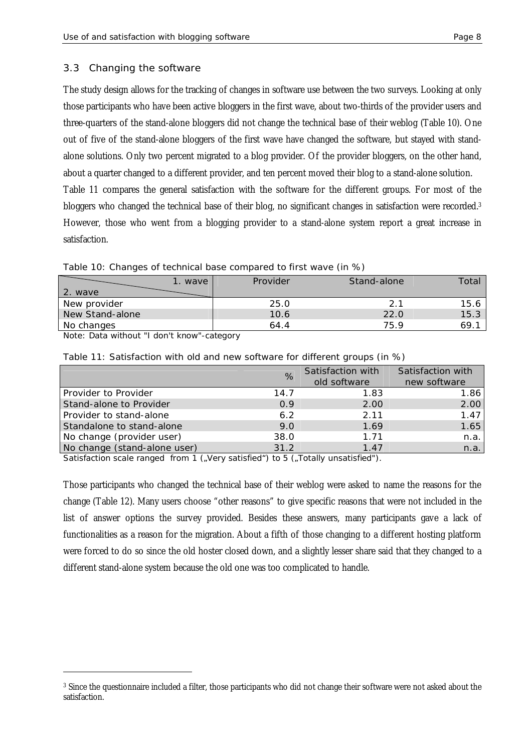#### 3.3 Changing the software

The study design allows for the tracking of changes in software use between the two surveys. Looking at only those participants who have been active bloggers in the first wave, about two-thirds of the provider users and three-quarters of the stand-alone bloggers did not change the technical base of their weblog (Table 10). One out of five of the stand-alone bloggers of the first wave have changed the software, but stayed with standalone solutions. Only two percent migrated to a blog provider. Of the provider bloggers, on the other hand, about a quarter changed to a different provider, and ten percent moved their blog to a stand-alone solution. Table 11 compares the general satisfaction with the software for the different groups. For most of the bloggers who changed the technical base of their blog, no significant changes in satisfaction were recorded.<sup>3</sup> However, those who went from a blogging provider to a stand-alone system report a great increase in satisfaction.

#### Table 10: Changes of technical base compared to first wave (in %)

| 2.<br>wave      | wave | Provider | Stand-alone   | Total |
|-----------------|------|----------|---------------|-------|
| New provider    |      | 25.0     | $\mathcal{D}$ | 15.6  |
| New Stand-alone |      | 10.6     | 22.0          | 15.3  |
| No changes      |      | 64.4     | 75.9          | 69.1  |

*Note: Data without "I don't know"-category*

|                              | $\%$ | Satisfaction with<br>old software | Satisfaction with<br>new software |
|------------------------------|------|-----------------------------------|-----------------------------------|
| Provider to Provider         | 14.7 | 1.83                              | 1.86                              |
| Stand-alone to Provider      | 0.9  | 2.00                              | 2.00                              |
| Provider to stand-alone      | 6.2  | 2.11                              | 1.47                              |
| Standalone to stand-alone    | 9.0  | 1.69                              | 1.65                              |
| No change (provider user)    | 38.0 | 1.71                              | n.a.                              |
| No change (stand-alone user) | 31.2 | 1.47                              | n.a.                              |

Table 11: Satisfaction with old and new software for different groups (in %)

*Satisfaction scale ranged from 1 ("Very satisfied") to 5 ("Totally unsatisfied").* 

Those participants who changed the technical base of their weblog were asked to name the reasons for the change (Table 12). Many users choose "other reasons" to give specific reasons that were not included in the list of answer options the survey provided. Besides these answers, many participants gave a lack of functionalities as a reason for the migration. About a fifth of those changing to a different hosting platform were forced to do so since the old hoster closed down, and a slightly lesser share said that they changed to a different stand-alone system because the old one was too complicated to handle.

<sup>&</sup>lt;sup>3</sup> Since the questionnaire included a filter, those participants who did not change their software were not asked about the satisfaction.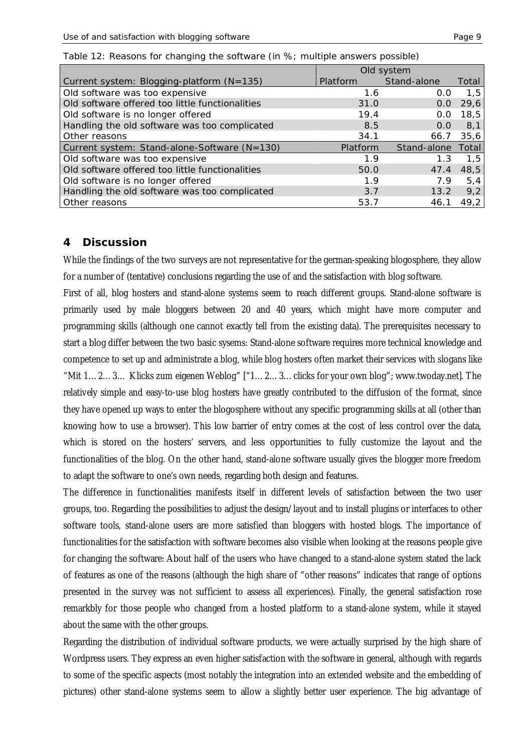|                                                 | Old system      |             |       |
|-------------------------------------------------|-----------------|-------------|-------|
| Current system: Blogging-platform (N=135)       | <b>Platform</b> | Stand-alone | Total |
| Old software was too expensive                  | 1.6             | 0.0         | 1,5   |
| Old software offered too little functionalities | 31.0            | 0.0         | 29,6  |
| Old software is no longer offered               | 19.4            | O.O         | 18,5  |
| Handling the old software was too complicated   | 8.5             | 0.0         | 8,1   |
| Other reasons                                   | 34.1            | 66.7        | 35,6  |
| Current system: Stand-alone-Software (N=130)    | <b>Platform</b> | Stand-alone | Total |
| Old software was too expensive                  | 1.9             | 1.3         | 1.5   |
| Old software offered too little functionalities | 50.0            | 47.4        | 48,5  |
| Old software is no longer offered               | 1.9             | 7.9         | 5,4   |
| Handling the old software was too complicated   | 3.7             | 13.2        | 9,2   |
| Other reasons                                   | 53.7            | 46.1        | 49.2  |

|  |  | Table 12: Reasons for changing the software (in %; multiple answers possible) |  |
|--|--|-------------------------------------------------------------------------------|--|
|  |  |                                                                               |  |

### **4 Discussion**

While the findings of the two surveys are not representative for the german-speaking blogosphere, they allow for a number of (tentative) conclusions regarding the use of and the satisfaction with blog software.

First of all, blog hosters and stand-alone systems seem to reach different groups. Stand-alone software is primarily used by male bloggers between 20 and 40 years, which might have more computer and programming skills (although one cannot exactly tell from the existing data). The prerequisites necessary to start a blog differ between the two basic sysems: Stand-alone software requires more technical knowledge and competence to set up and administrate a blog, while blog hosters often market their services with slogans like "Mit 1… 2… 3… Klicks zum eigenen Weblog" ["1… 2… 3… clicks for your own blog"; [www.twoday.net\].](http://www.twoday.net].) The relatively simple and easy-to-use blog hosters have greatly contributed to the diffusion of the format, since they have opened up ways to enter the blogosphere without any specific programming skills at all (other than knowing how to use a browser). This low barrier of entry comes at the cost of less control over the data, which is stored on the hosters' servers, and less opportunities to fully customize the layout and the functionalities of the blog. On the other hand, stand-alone software usually gives the blogger more freedom to adapt the software to one's own needs, regarding both design and features.

The difference in functionalities manifests itself in different levels of satisfaction between the two user groups, too. Regarding the possibilities to adjust the design/layout and to install plugins or interfaces to other software tools, stand-alone users are more satisfied than bloggers with hosted blogs. The importance of functionalities for the satisfaction with software becomes also visible when looking at the reasons people give for changing the software: About half of the users who have changed to a stand-alone system stated the lack of features as one of the reasons (although the high share of "other reasons" indicates that range of options presented in the survey was not sufficient to assess all experiences). Finally, the general satisfaction rose remarkbly for those people who changed from a hosted platform to a stand-alone system, while it stayed about the same with the other groups.

Regarding the distribution of individual software products, we were actually surprised by the high share of Wordpress users. They express an even higher satisfaction with the software in general, although with regards to some of the specific aspects (most notably the integration into an extended website and the embedding of pictures) other stand-alone systems seem to allow a slightly better user experience. The big advantage of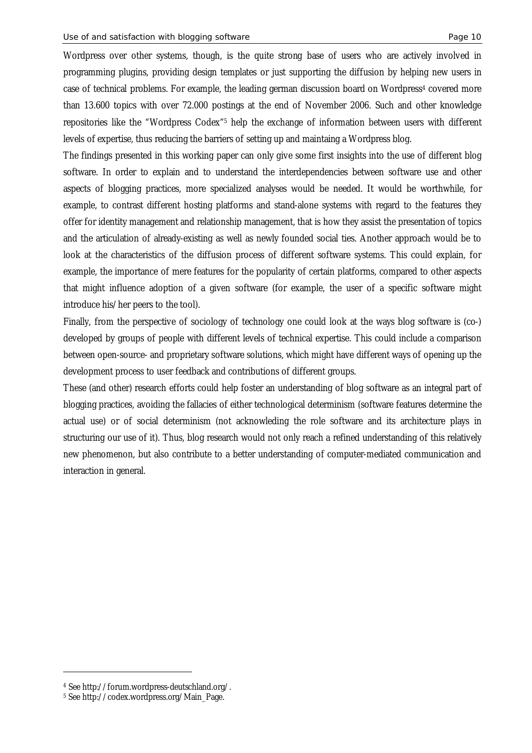Wordpress over other systems, though, is the quite strong base of users who are actively involved in programming plugins, providing design templates or just supporting the diffusion by helping new users in case of technical problems. For example, the leading german discussion board on Wordpress<sup>4</sup> covered more than 13.600 topics with over 72.000 postings at the end of November 2006. Such and other knowledge repositories like the "Wordpress Codex"5 help the exchange of information between users with different levels of expertise, thus reducing the barriers of setting up and maintaing a Wordpress blog.

The findings presented in this working paper can only give some first insights into the use of different blog software. In order to explain and to understand the interdependencies between software use and other aspects of blogging practices, more specialized analyses would be needed. It would be worthwhile, for example, to contrast different hosting platforms and stand-alone systems with regard to the features they offer for identity management and relationship management, that is how they assist the presentation of topics and the articulation of already-existing as well as newly founded social ties. Another approach would be to look at the characteristics of the diffusion process of different software systems. This could explain, for example, the importance of mere features for the popularity of certain platforms, compared to other aspects that might influence adoption of a given software (for example, the user of a specific software might introduce his/her peers to the tool).

Finally, from the perspective of sociology of technology one could look at the ways blog software is (co-) developed by groups of people with different levels of technical expertise. This could include a comparison between open-source- and proprietary software solutions, which might have different ways of opening up the development process to user feedback and contributions of different groups.

These (and other) research efforts could help foster an understanding of blog software as an integral part of blogging practices, avoiding the fallacies of either technological determinism (software features determine the actual use) or of social determinism (not acknowleding the role software and its architecture plays in structuring our use of it). Thus, blog research would not only reach a refined understanding of this relatively new phenomenon, but also contribute to a better understanding of computer-mediated communication and interaction in general.

<sup>4</sup> See<http://forum.wordpress-deutschland.org/.>

<sup>5</sup> See [http://codex.wordpress.org/Main\\_Page.](http://codex.wordpress.org/Main_Page.)